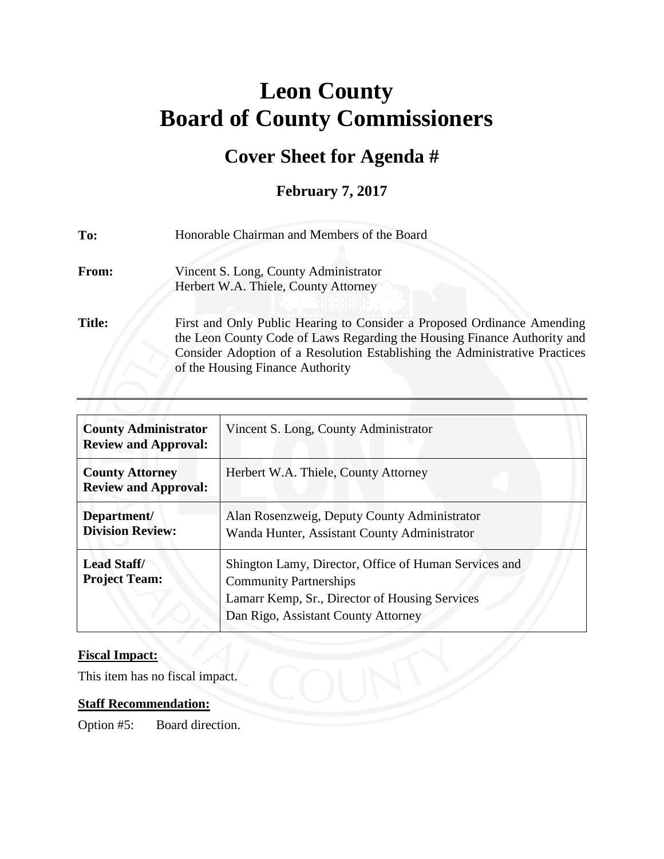# **Leon County Board of County Commissioners**

## **Cover Sheet for Agenda #**

### **February 7, 2017**

| To:           | Honorable Chairman and Members of the Board                                                                                                                                                                                                                            |  |
|---------------|------------------------------------------------------------------------------------------------------------------------------------------------------------------------------------------------------------------------------------------------------------------------|--|
| From:         | Vincent S. Long, County Administrator<br>Herbert W.A. Thiele, County Attorney                                                                                                                                                                                          |  |
| <b>Title:</b> | First and Only Public Hearing to Consider a Proposed Ordinance Amending<br>the Leon County Code of Laws Regarding the Housing Finance Authority and<br>Consider Adoption of a Resolution Establishing the Administrative Practices<br>of the Housing Finance Authority |  |

| <b>County Administrator</b><br><b>Review and Approval:</b> | Vincent S. Long, County Administrator                                                                                                                                           |
|------------------------------------------------------------|---------------------------------------------------------------------------------------------------------------------------------------------------------------------------------|
| <b>County Attorney</b><br><b>Review and Approval:</b>      | Herbert W.A. Thiele, County Attorney                                                                                                                                            |
| Department/<br><b>Division Review:</b>                     | Alan Rosenzweig, Deputy County Administrator<br>Wanda Hunter, Assistant County Administrator                                                                                    |
| <b>Lead Staff/</b><br><b>Project Team:</b>                 | Shington Lamy, Director, Office of Human Services and<br><b>Community Partnerships</b><br>Lamarr Kemp, Sr., Director of Housing Services<br>Dan Rigo, Assistant County Attorney |

#### **Fiscal Impact:**

This item has no fiscal impact.

#### **Staff Recommendation:**

Option #5: Board direction.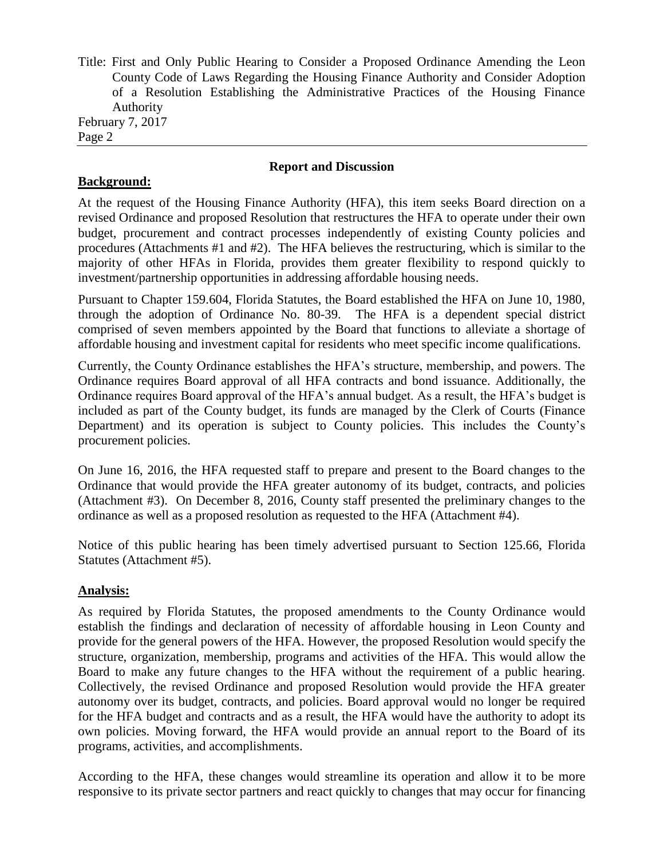Title: First and Only Public Hearing to Consider a Proposed Ordinance Amending the Leon County Code of Laws Regarding the Housing Finance Authority and Consider Adoption of a Resolution Establishing the Administrative Practices of the Housing Finance Authority February 7, 2017

Page 2

#### **Report and Discussion**

#### **Background:**

At the request of the Housing Finance Authority (HFA), this item seeks Board direction on a revised Ordinance and proposed Resolution that restructures the HFA to operate under their own budget, procurement and contract processes independently of existing County policies and procedures (Attachments #1 and #2). The HFA believes the restructuring, which is similar to the majority of other HFAs in Florida, provides them greater flexibility to respond quickly to investment/partnership opportunities in addressing affordable housing needs.

Pursuant to Chapter 159.604, Florida Statutes, the Board established the HFA on June 10, 1980, through the adoption of Ordinance No. 80-39. The HFA is a dependent special district comprised of seven members appointed by the Board that functions to alleviate a shortage of affordable housing and investment capital for residents who meet specific income qualifications.

Currently, the County Ordinance establishes the HFA's structure, membership, and powers. The Ordinance requires Board approval of all HFA contracts and bond issuance. Additionally, the Ordinance requires Board approval of the HFA's annual budget. As a result, the HFA's budget is included as part of the County budget, its funds are managed by the Clerk of Courts (Finance Department) and its operation is subject to County policies. This includes the County's procurement policies.

On June 16, 2016, the HFA requested staff to prepare and present to the Board changes to the Ordinance that would provide the HFA greater autonomy of its budget, contracts, and policies (Attachment #3). On December 8, 2016, County staff presented the preliminary changes to the ordinance as well as a proposed resolution as requested to the HFA (Attachment #4).

Notice of this public hearing has been timely advertised pursuant to Section 125.66, Florida Statutes (Attachment #5).

#### **Analysis:**

As required by Florida Statutes, the proposed amendments to the County Ordinance would establish the findings and declaration of necessity of affordable housing in Leon County and provide for the general powers of the HFA. However, the proposed Resolution would specify the structure, organization, membership, programs and activities of the HFA. This would allow the Board to make any future changes to the HFA without the requirement of a public hearing. Collectively, the revised Ordinance and proposed Resolution would provide the HFA greater autonomy over its budget, contracts, and policies. Board approval would no longer be required for the HFA budget and contracts and as a result, the HFA would have the authority to adopt its own policies. Moving forward, the HFA would provide an annual report to the Board of its programs, activities, and accomplishments.

According to the HFA, these changes would streamline its operation and allow it to be more responsive to its private sector partners and react quickly to changes that may occur for financing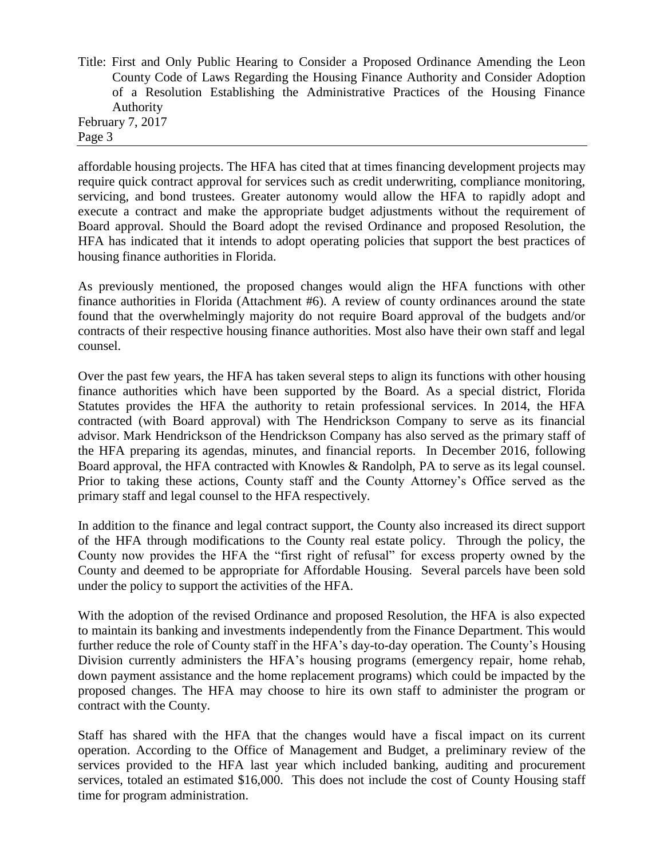Title: First and Only Public Hearing to Consider a Proposed Ordinance Amending the Leon County Code of Laws Regarding the Housing Finance Authority and Consider Adoption of a Resolution Establishing the Administrative Practices of the Housing Finance Authority February 7, 2017

Page 3

affordable housing projects. The HFA has cited that at times financing development projects may require quick contract approval for services such as credit underwriting, compliance monitoring, servicing, and bond trustees. Greater autonomy would allow the HFA to rapidly adopt and execute a contract and make the appropriate budget adjustments without the requirement of Board approval. Should the Board adopt the revised Ordinance and proposed Resolution, the HFA has indicated that it intends to adopt operating policies that support the best practices of housing finance authorities in Florida.

As previously mentioned, the proposed changes would align the HFA functions with other finance authorities in Florida (Attachment #6). A review of county ordinances around the state found that the overwhelmingly majority do not require Board approval of the budgets and/or contracts of their respective housing finance authorities. Most also have their own staff and legal counsel.

Over the past few years, the HFA has taken several steps to align its functions with other housing finance authorities which have been supported by the Board. As a special district, Florida Statutes provides the HFA the authority to retain professional services. In 2014, the HFA contracted (with Board approval) with The Hendrickson Company to serve as its financial advisor. Mark Hendrickson of the Hendrickson Company has also served as the primary staff of the HFA preparing its agendas, minutes, and financial reports. In December 2016, following Board approval, the HFA contracted with Knowles & Randolph, PA to serve as its legal counsel. Prior to taking these actions, County staff and the County Attorney's Office served as the primary staff and legal counsel to the HFA respectively.

In addition to the finance and legal contract support, the County also increased its direct support of the HFA through modifications to the County real estate policy. Through the policy, the County now provides the HFA the "first right of refusal" for excess property owned by the County and deemed to be appropriate for Affordable Housing. Several parcels have been sold under the policy to support the activities of the HFA.

With the adoption of the revised Ordinance and proposed Resolution, the HFA is also expected to maintain its banking and investments independently from the Finance Department. This would further reduce the role of County staff in the HFA's day-to-day operation. The County's Housing Division currently administers the HFA's housing programs (emergency repair, home rehab, down payment assistance and the home replacement programs) which could be impacted by the proposed changes. The HFA may choose to hire its own staff to administer the program or contract with the County.

Staff has shared with the HFA that the changes would have a fiscal impact on its current operation. According to the Office of Management and Budget, a preliminary review of the services provided to the HFA last year which included banking, auditing and procurement services, totaled an estimated \$16,000. This does not include the cost of County Housing staff time for program administration.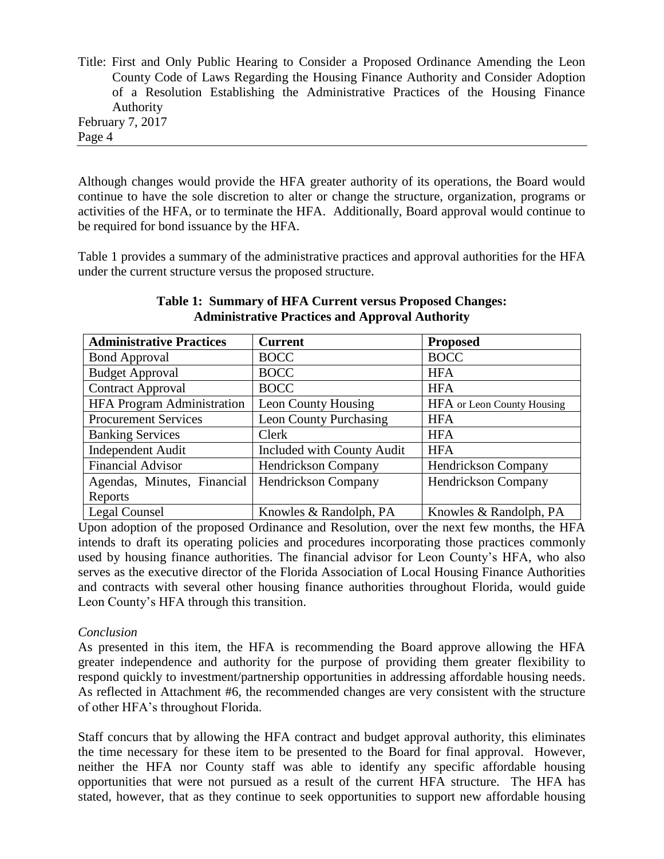Title: First and Only Public Hearing to Consider a Proposed Ordinance Amending the Leon County Code of Laws Regarding the Housing Finance Authority and Consider Adoption of a Resolution Establishing the Administrative Practices of the Housing Finance Authority February 7, 2017 Page 4

Although changes would provide the HFA greater authority of its operations, the Board would continue to have the sole discretion to alter or change the structure, organization, programs or activities of the HFA, or to terminate the HFA. Additionally, Board approval would continue to be required for bond issuance by the HFA.

Table 1 provides a summary of the administrative practices and approval authorities for the HFA under the current structure versus the proposed structure.

| <b>Administrative Practices</b>   | <b>Current</b>                | <b>Proposed</b>                   |
|-----------------------------------|-------------------------------|-----------------------------------|
| <b>Bond Approval</b>              | <b>BOCC</b>                   | <b>BOCC</b>                       |
| <b>Budget Approval</b>            | <b>BOCC</b>                   | <b>HFA</b>                        |
| <b>Contract Approval</b>          | <b>BOCC</b>                   | <b>HFA</b>                        |
| <b>HFA Program Administration</b> | Leon County Housing           | <b>HFA</b> or Leon County Housing |
| <b>Procurement Services</b>       | <b>Leon County Purchasing</b> | <b>HFA</b>                        |
| <b>Banking Services</b>           | <b>Clerk</b>                  | <b>HFA</b>                        |
| <b>Independent Audit</b>          | Included with County Audit    | <b>HFA</b>                        |
| <b>Financial Advisor</b>          | <b>Hendrickson Company</b>    | Hendrickson Company               |
| Agendas, Minutes, Financial       | Hendrickson Company           | Hendrickson Company               |
| Reports                           |                               |                                   |
| Legal Counsel                     | Knowles & Randolph, PA        | Knowles & Randolph, PA            |

**Table 1: Summary of HFA Current versus Proposed Changes: Administrative Practices and Approval Authority**

Upon adoption of the proposed Ordinance and Resolution, over the next few months, the HFA intends to draft its operating policies and procedures incorporating those practices commonly used by housing finance authorities. The financial advisor for Leon County's HFA, who also serves as the executive director of the Florida Association of Local Housing Finance Authorities and contracts with several other housing finance authorities throughout Florida, would guide Leon County's HFA through this transition.

#### *Conclusion*

As presented in this item, the HFA is recommending the Board approve allowing the HFA greater independence and authority for the purpose of providing them greater flexibility to respond quickly to investment/partnership opportunities in addressing affordable housing needs. As reflected in Attachment #6, the recommended changes are very consistent with the structure of other HFA's throughout Florida.

Staff concurs that by allowing the HFA contract and budget approval authority, this eliminates the time necessary for these item to be presented to the Board for final approval. However, neither the HFA nor County staff was able to identify any specific affordable housing opportunities that were not pursued as a result of the current HFA structure. The HFA has stated, however, that as they continue to seek opportunities to support new affordable housing